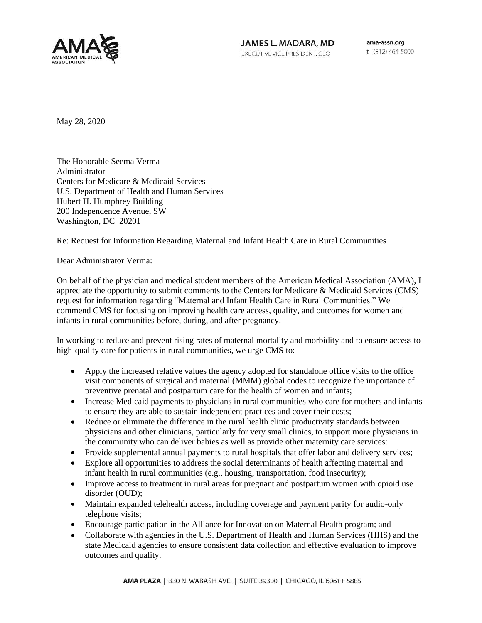

JAMES L. MADARA, MD EXECUTIVE VICE PRESIDENT, CEO

ama-assn.org t (312) 464-5000

May 28, 2020

The Honorable Seema Verma Administrator Centers for Medicare & Medicaid Services U.S. Department of Health and Human Services Hubert H. Humphrey Building 200 Independence Avenue, SW Washington, DC 20201

Re: Request for Information Regarding Maternal and Infant Health Care in Rural Communities

Dear Administrator Verma:

On behalf of the physician and medical student members of the American Medical Association (AMA), I appreciate the opportunity to submit comments to the Centers for Medicare & Medicaid Services (CMS) request for information regarding "Maternal and Infant Health Care in Rural Communities." We commend CMS for focusing on improving health care access, quality, and outcomes for women and infants in rural communities before, during, and after pregnancy.

In working to reduce and prevent rising rates of maternal mortality and morbidity and to ensure access to high-quality care for patients in rural communities, we urge CMS to:

- Apply the increased relative values the agency adopted for standalone office visits to the office visit components of surgical and maternal (MMM) global codes to recognize the importance of preventive prenatal and postpartum care for the health of women and infants;
- Increase Medicaid payments to physicians in rural communities who care for mothers and infants to ensure they are able to sustain independent practices and cover their costs;
- Reduce or eliminate the difference in the rural health clinic productivity standards between physicians and other clinicians, particularly for very small clinics, to support more physicians in the community who can deliver babies as well as provide other maternity care services:
- Provide supplemental annual payments to rural hospitals that offer labor and delivery services;
- Explore all opportunities to address the social determinants of health affecting maternal and infant health in rural communities (e.g., housing, transportation, food insecurity);
- Improve access to treatment in rural areas for pregnant and postpartum women with opioid use disorder (OUD);
- Maintain expanded telehealth access, including coverage and payment parity for audio-only telephone visits;
- Encourage participation in the Alliance for Innovation on Maternal Health program; and
- Collaborate with agencies in the U.S. Department of Health and Human Services (HHS) and the state Medicaid agencies to ensure consistent data collection and effective evaluation to improve outcomes and quality.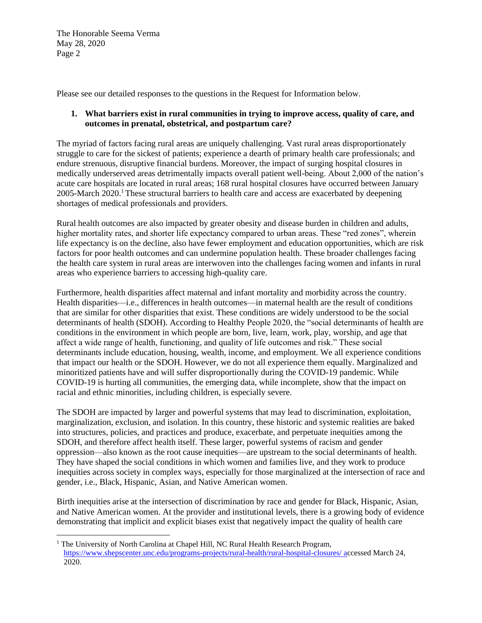Please see our detailed responses to the questions in the Request for Information below.

## **1. What barriers exist in rural communities in trying to improve access, quality of care, and outcomes in prenatal, obstetrical, and postpartum care?**

The myriad of factors facing rural areas are uniquely challenging. Vast rural areas disproportionately struggle to care for the sickest of patients; experience a dearth of primary health care professionals; and endure strenuous, disruptive financial burdens. Moreover, the impact of surging hospital closures in medically underserved areas detrimentally impacts overall patient well-being. About 2,000 of the nation's acute care hospitals are located in rural areas; 168 rural hospital closures have occurred between January 2005-March 2020.<sup>1</sup> These structural barriers to health care and access are exacerbated by deepening shortages of medical professionals and providers.

Rural health outcomes are also impacted by greater obesity and disease burden in children and adults, higher mortality rates, and shorter life expectancy compared to urban areas. These "red zones", wherein life expectancy is on the decline, also have fewer employment and education opportunities, which are risk factors for poor health outcomes and can undermine population health. These broader challenges facing the health care system in rural areas are interwoven into the challenges facing women and infants in rural areas who experience barriers to accessing high-quality care.

Furthermore, health disparities affect maternal and infant mortality and morbidity across the country. Health disparities—i.e., differences in health outcomes—in maternal health are the result of conditions that are similar for other disparities that exist. These conditions are widely understood to be the social determinants of health (SDOH). According to Healthy People 2020, the "social determinants of health are conditions in the environment in which people are born, live, learn, work, play, worship, and age that affect a wide range of health, functioning, and quality of life outcomes and risk." These social determinants include education, housing, wealth, income, and employment. We all experience conditions that impact our health or the SDOH. However, we do not all experience them equally. Marginalized and minoritized patients have and will suffer disproportionally during the COVID-19 pandemic. While COVID-19 is hurting all communities, the emerging data, while incomplete, show that the impact on racial and ethnic minorities, including children, is especially severe.

The SDOH are impacted by larger and powerful systems that may lead to discrimination, exploitation, marginalization, exclusion, and isolation. In this country, these historic and systemic realities are baked into structures, policies, and practices and produce, exacerbate, and perpetuate inequities among the SDOH, and therefore affect health itself. These larger, powerful systems of racism and gender oppression—also known as the root cause inequities—are upstream to the social determinants of health. They have shaped the social conditions in which women and families live, and they work to produce inequities across society in complex ways, especially for those marginalized at the intersection of race and gender, i.e., Black, Hispanic, Asian, and Native American women.

Birth inequities arise at the intersection of discrimination by race and gender for Black, Hispanic, Asian, and Native American women. At the provider and institutional levels, there is a growing body of evidence demonstrating that implicit and explicit biases exist that negatively impact the quality of health care

<sup>&</sup>lt;sup>1</sup> The University of North Carolina at Chapel Hill, NC Rural Health Research Program, <https://www.shepscenter.unc.edu/programs-projects/rural-health/rural-hospital-closures/> accessed March 24, 2020.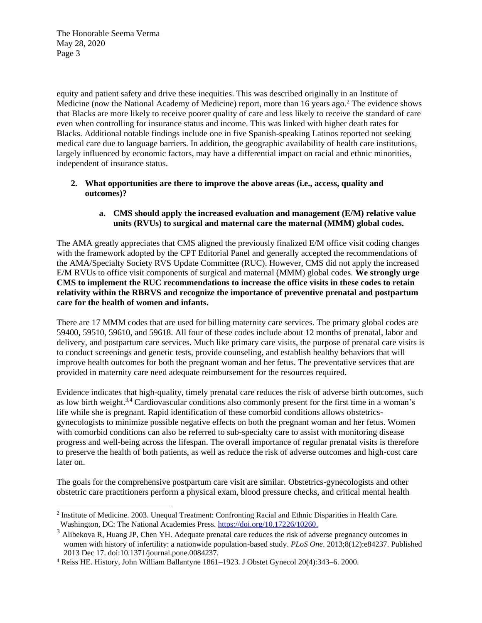equity and patient safety and drive these inequities. This was described originally in an Institute of Medicine (now the National Academy of Medicine) report, more than 16 years ago.<sup>2</sup> The evidence shows that Blacks are more likely to receive poorer quality of care and less likely to receive the standard of care even when controlling for insurance status and income. This was linked with higher death rates for Blacks. Additional notable findings include one in five Spanish-speaking Latinos reported not seeking medical care due to language barriers. In addition, the geographic availability of health care institutions, largely influenced by economic factors, may have a differential impact on racial and ethnic minorities, independent of insurance status.

### **2. What opportunities are there to improve the above areas (i.e., access, quality and outcomes)?**

# **a. CMS should apply the increased evaluation and management (E/M) relative value units (RVUs) to surgical and maternal care the maternal (MMM) global codes.**

The AMA greatly appreciates that CMS aligned the previously finalized E/M office visit coding changes with the framework adopted by the CPT Editorial Panel and generally accepted the recommendations of the AMA/Specialty Society RVS Update Committee (RUC). However, CMS did not apply the increased E/M RVUs to office visit components of surgical and maternal (MMM) global codes. **We strongly urge CMS to implement the RUC recommendations to increase the office visits in these codes to retain relativity within the RBRVS and recognize the importance of preventive prenatal and postpartum care for the health of women and infants.** 

There are 17 MMM codes that are used for billing maternity care services. The primary global codes are 59400, 59510, 59610, and 59618. All four of these codes include about 12 months of prenatal, labor and delivery, and postpartum care services. Much like primary care visits, the purpose of prenatal care visits is to conduct screenings and genetic tests, provide counseling, and establish healthy behaviors that will improve health outcomes for both the pregnant woman and her fetus. The preventative services that are provided in maternity care need adequate reimbursement for the resources required.

Evidence indicates that high-quality, timely prenatal care reduces the risk of adverse birth outcomes, such as low birth weight.3,4 Cardiovascular conditions also commonly present for the first time in a woman's life while she is pregnant. Rapid identification of these comorbid conditions allows obstetricsgynecologists to minimize possible negative effects on both the pregnant woman and her fetus. Women with comorbid conditions can also be referred to sub-specialty care to assist with monitoring disease progress and well-being across the lifespan. The overall importance of regular prenatal visits is therefore to preserve the health of both patients, as well as reduce the risk of adverse outcomes and high-cost care later on.

The goals for the comprehensive postpartum care visit are similar. Obstetrics-gynecologists and other obstetric care practitioners perform a physical exam, blood pressure checks, and critical mental health

<sup>&</sup>lt;sup>2</sup> Institute of Medicine. 2003. Unequal Treatment: Confronting Racial and Ethnic Disparities in Health Care. Washington, DC: The National Academies Press. [https://doi.org/10.17226/10260.](https://doi.org/10.17226/10260)

<sup>&</sup>lt;sup>3</sup> Alibekova R, Huang JP, Chen YH. Adequate prenatal care reduces the risk of adverse pregnancy outcomes in women with history of infertility: a nationwide population-based study. *PLoS One*. 2013;8(12):e84237. Published 2013 Dec 17. doi:10.1371/journal.pone.0084237.

<sup>4</sup> Reiss HE. History, John William Ballantyne 1861–1923. J Obstet Gynecol 20(4):343–6. 2000.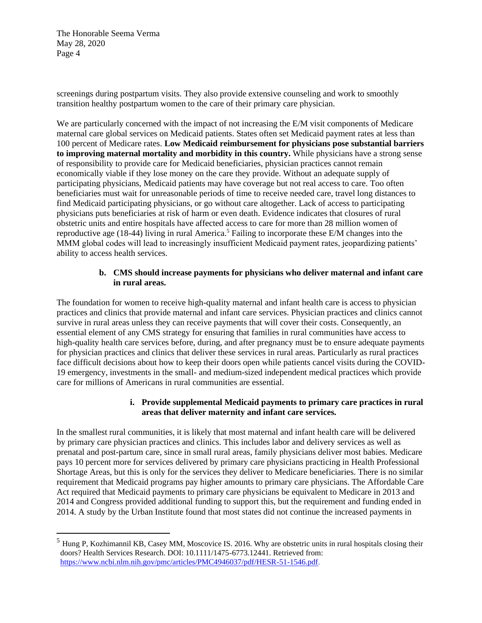screenings during postpartum visits. They also provide extensive counseling and work to smoothly transition healthy postpartum women to the care of their primary care physician.

We are particularly concerned with the impact of not increasing the E/M visit components of Medicare maternal care global services on Medicaid patients. States often set Medicaid payment rates at less than 100 percent of Medicare rates. **Low Medicaid reimbursement for physicians pose substantial barriers to improving maternal mortality and morbidity in this country.** While physicians have a strong sense of responsibility to provide care for Medicaid beneficiaries, physician practices cannot remain economically viable if they lose money on the care they provide. Without an adequate supply of participating physicians, Medicaid patients may have coverage but not real access to care. Too often beneficiaries must wait for unreasonable periods of time to receive needed care, travel long distances to find Medicaid participating physicians, or go without care altogether. Lack of access to participating physicians puts beneficiaries at risk of harm or even death. Evidence indicates that closures of rural obstetric units and entire hospitals have affected access to care for more than 28 million women of reproductive age (18-44) living in rural America.<sup>5</sup> Failing to incorporate these E/M changes into the MMM global codes will lead to increasingly insufficient Medicaid payment rates, jeopardizing patients' ability to access health services.

## **b. CMS should increase payments for physicians who deliver maternal and infant care in rural areas.**

The foundation for women to receive high-quality maternal and infant health care is access to physician practices and clinics that provide maternal and infant care services. Physician practices and clinics cannot survive in rural areas unless they can receive payments that will cover their costs. Consequently, an essential element of any CMS strategy for ensuring that families in rural communities have access to high-quality health care services before, during, and after pregnancy must be to ensure adequate payments for physician practices and clinics that deliver these services in rural areas. Particularly as rural practices face difficult decisions about how to keep their doors open while patients cancel visits during the COVID-19 emergency, investments in the small- and medium-sized independent medical practices which provide care for millions of Americans in rural communities are essential.

## **i. Provide supplemental Medicaid payments to primary care practices in rural areas that deliver maternity and infant care services.**

In the smallest rural communities, it is likely that most maternal and infant health care will be delivered by primary care physician practices and clinics. This includes labor and delivery services as well as prenatal and post-partum care, since in small rural areas, family physicians deliver most babies. Medicare pays 10 percent more for services delivered by primary care physicians practicing in Health Professional Shortage Areas, but this is only for the services they deliver to Medicare beneficiaries. There is no similar requirement that Medicaid programs pay higher amounts to primary care physicians. The Affordable Care Act required that Medicaid payments to primary care physicians be equivalent to Medicare in 2013 and 2014 and Congress provided additional funding to support this, but the requirement and funding ended in 2014. A study by the Urban Institute found that most states did not continue the increased payments in

<sup>&</sup>lt;sup>5</sup> Hung P, Kozhimannil KB, Casey MM, Moscovice IS. 2016. Why are obstetric units in rural hospitals closing their doors? Health Services Research. DOI: 10.1111/1475-6773.12441. Retrieved from: [https://www.ncbi.nlm.nih.gov/pmc/articles/PMC4946037/pdf/HESR-51-1546.pdf.](https://www.ncbi.nlm.nih.gov/pmc/articles/PMC4946037/pdf/HESR-51-1546.pdf)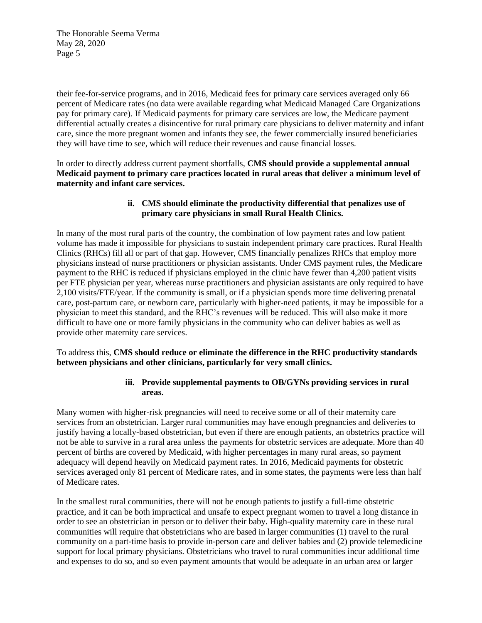their fee-for-service programs, and in 2016, Medicaid fees for primary care services averaged only 66 percent of Medicare rates (no data were available regarding what Medicaid Managed Care Organizations pay for primary care). If Medicaid payments for primary care services are low, the Medicare payment differential actually creates a disincentive for rural primary care physicians to deliver maternity and infant care, since the more pregnant women and infants they see, the fewer commercially insured beneficiaries they will have time to see, which will reduce their revenues and cause financial losses.

In order to directly address current payment shortfalls, **CMS should provide a supplemental annual Medicaid payment to primary care practices located in rural areas that deliver a minimum level of maternity and infant care services.**

## **ii. CMS should eliminate the productivity differential that penalizes use of primary care physicians in small Rural Health Clinics.**

In many of the most rural parts of the country, the combination of low payment rates and low patient volume has made it impossible for physicians to sustain independent primary care practices. Rural Health Clinics (RHCs) fill all or part of that gap. However, CMS financially penalizes RHCs that employ more physicians instead of nurse practitioners or physician assistants. Under CMS payment rules, the Medicare payment to the RHC is reduced if physicians employed in the clinic have fewer than 4,200 patient visits per FTE physician per year, whereas nurse practitioners and physician assistants are only required to have 2,100 visits/FTE/year. If the community is small, or if a physician spends more time delivering prenatal care, post-partum care, or newborn care, particularly with higher-need patients, it may be impossible for a physician to meet this standard, and the RHC's revenues will be reduced. This will also make it more difficult to have one or more family physicians in the community who can deliver babies as well as provide other maternity care services.

To address this, **CMS should reduce or eliminate the difference in the RHC productivity standards between physicians and other clinicians, particularly for very small clinics.**

## **iii. Provide supplemental payments to OB/GYNs providing services in rural areas.**

Many women with higher-risk pregnancies will need to receive some or all of their maternity care services from an obstetrician. Larger rural communities may have enough pregnancies and deliveries to justify having a locally-based obstetrician, but even if there are enough patients, an obstetrics practice will not be able to survive in a rural area unless the payments for obstetric services are adequate. More than 40 percent of births are covered by Medicaid, with higher percentages in many rural areas, so payment adequacy will depend heavily on Medicaid payment rates. In 2016, Medicaid payments for obstetric services averaged only 81 percent of Medicare rates, and in some states, the payments were less than half of Medicare rates.

In the smallest rural communities, there will not be enough patients to justify a full-time obstetric practice, and it can be both impractical and unsafe to expect pregnant women to travel a long distance in order to see an obstetrician in person or to deliver their baby. High-quality maternity care in these rural communities will require that obstetricians who are based in larger communities (1) travel to the rural community on a part-time basis to provide in-person care and deliver babies and (2) provide telemedicine support for local primary physicians. Obstetricians who travel to rural communities incur additional time and expenses to do so, and so even payment amounts that would be adequate in an urban area or larger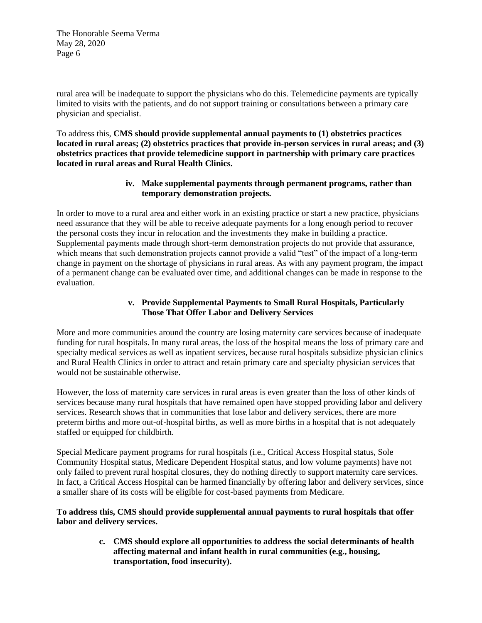rural area will be inadequate to support the physicians who do this. Telemedicine payments are typically limited to visits with the patients, and do not support training or consultations between a primary care physician and specialist.

To address this, **CMS should provide supplemental annual payments to (1) obstetrics practices located in rural areas; (2) obstetrics practices that provide in-person services in rural areas; and (3) obstetrics practices that provide telemedicine support in partnership with primary care practices located in rural areas and Rural Health Clinics.**

### **iv. Make supplemental payments through permanent programs, rather than temporary demonstration projects.**

In order to move to a rural area and either work in an existing practice or start a new practice, physicians need assurance that they will be able to receive adequate payments for a long enough period to recover the personal costs they incur in relocation and the investments they make in building a practice. Supplemental payments made through short-term demonstration projects do not provide that assurance, which means that such demonstration projects cannot provide a valid "test" of the impact of a long-term change in payment on the shortage of physicians in rural areas. As with any payment program, the impact of a permanent change can be evaluated over time, and additional changes can be made in response to the evaluation.

# **v. Provide Supplemental Payments to Small Rural Hospitals, Particularly Those That Offer Labor and Delivery Services**

More and more communities around the country are losing maternity care services because of inadequate funding for rural hospitals. In many rural areas, the loss of the hospital means the loss of primary care and specialty medical services as well as inpatient services, because rural hospitals subsidize physician clinics and Rural Health Clinics in order to attract and retain primary care and specialty physician services that would not be sustainable otherwise.

However, the loss of maternity care services in rural areas is even greater than the loss of other kinds of services because many rural hospitals that have remained open have stopped providing labor and delivery services. Research shows that in communities that lose labor and delivery services, there are more preterm births and more out-of-hospital births, as well as more births in a hospital that is not adequately staffed or equipped for childbirth.

Special Medicare payment programs for rural hospitals (i.e., Critical Access Hospital status, Sole Community Hospital status, Medicare Dependent Hospital status, and low volume payments) have not only failed to prevent rural hospital closures, they do nothing directly to support maternity care services. In fact, a Critical Access Hospital can be harmed financially by offering labor and delivery services, since a smaller share of its costs will be eligible for cost-based payments from Medicare.

**To address this, CMS should provide supplemental annual payments to rural hospitals that offer labor and delivery services.**

> **c. CMS should explore all opportunities to address the social determinants of health affecting maternal and infant health in rural communities (e.g., housing, transportation, food insecurity).**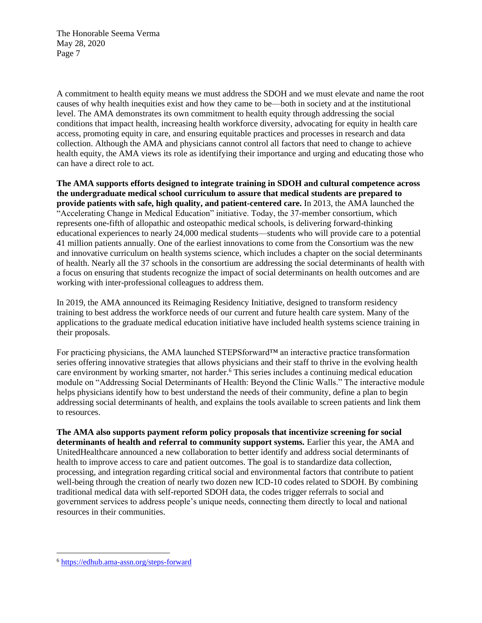A commitment to health equity means we must address the SDOH and we must elevate and name the root causes of why health inequities exist and how they came to be—both in society and at the institutional level. The AMA demonstrates its own commitment to health equity through addressing the social conditions that impact health, increasing health workforce diversity, advocating for equity in health care access, promoting equity in care, and ensuring equitable practices and processes in research and data collection. Although the AMA and physicians cannot control all factors that need to change to achieve health equity, the AMA views its role as identifying their importance and urging and educating those who can have a direct role to act.

**The AMA supports efforts designed to integrate training in SDOH and cultural competence across the undergraduate medical school curriculum to assure that medical students are prepared to provide patients with safe, high quality, and patient-centered care.** In 2013, the AMA launched the "Accelerating Change in Medical Education" initiative. Today, the 37-member consortium, which represents one-fifth of allopathic and osteopathic medical schools, is delivering forward-thinking educational experiences to nearly 24,000 medical students—students who will provide care to a potential 41 million patients annually. One of the earliest innovations to come from the Consortium was the new and innovative curriculum on health systems science, which includes a chapter on the social determinants of health. Nearly all the 37 schools in the consortium are addressing the social determinants of health with a focus on ensuring that students recognize the impact of social determinants on health outcomes and are working with inter-professional colleagues to address them.

In 2019, the AMA announced its Reimaging Residency Initiative, designed to transform residency training to best address the workforce needs of our current and future health care system. Many of the applications to the graduate medical education initiative have included health systems science training in their proposals.

For practicing physicians, the AMA launched STEPSforward™ an interactive practice transformation series offering innovative strategies that allows physicians and their staff to thrive in the evolving health care environment by working smarter, not harder.<sup>6</sup> This series includes a continuing medical education module on "Addressing Social Determinants of Health: Beyond the Clinic Walls." The interactive module helps physicians identify how to best understand the needs of their community, define a plan to begin addressing social determinants of health, and explains the tools available to screen patients and link them to resources.

**The AMA also supports payment reform policy proposals that incentivize screening for social determinants of health and referral to community support systems.** Earlier this year, the AMA and UnitedHealthcare announced a new collaboration to better identify and address social determinants of health to improve access to care and patient outcomes. The goal is to standardize data collection, processing, and integration regarding critical social and environmental factors that contribute to patient well-being through the creation of nearly two dozen new ICD-10 codes related to SDOH. By combining traditional medical data with self-reported SDOH data, the codes trigger referrals to social and government services to address people's unique needs, connecting them directly to local and national resources in their communities.

<sup>6</sup> <https://edhub.ama-assn.org/steps-forward>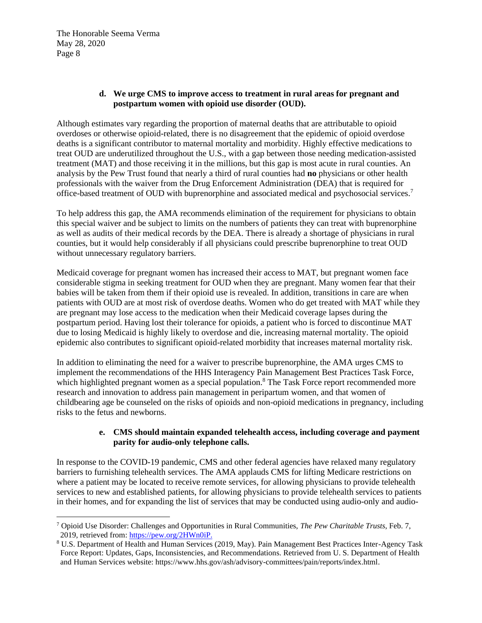## **d. We urge CMS to improve access to treatment in rural areas for pregnant and postpartum women with opioid use disorder (OUD).**

Although estimates vary regarding the proportion of maternal deaths that are attributable to opioid overdoses or otherwise opioid-related, there is no disagreement that the epidemic of opioid overdose deaths is a significant contributor to maternal mortality and morbidity. Highly effective medications to treat OUD are underutilized throughout the U.S., with a gap between those needing medication-assisted treatment (MAT) and those receiving it in the millions, but this gap is most acute in rural counties. An analysis by the Pew Trust found that nearly a third of rural counties had **no** physicians or other health professionals with the waiver from the Drug Enforcement Administration (DEA) that is required for office-based treatment of OUD with buprenorphine and associated medical and psychosocial services.<sup>7</sup>

To help address this gap, the AMA recommends elimination of the requirement for physicians to obtain this special waiver and be subject to limits on the numbers of patients they can treat with buprenorphine as well as audits of their medical records by the DEA. There is already a shortage of physicians in rural counties, but it would help considerably if all physicians could prescribe buprenorphine to treat OUD without unnecessary regulatory barriers.

Medicaid coverage for pregnant women has increased their access to MAT, but pregnant women face considerable stigma in seeking treatment for OUD when they are pregnant. Many women fear that their babies will be taken from them if their opioid use is revealed. In addition, transitions in care are when patients with OUD are at most risk of overdose deaths. Women who do get treated with MAT while they are pregnant may lose access to the medication when their Medicaid coverage lapses during the postpartum period. Having lost their tolerance for opioids, a patient who is forced to discontinue MAT due to losing Medicaid is highly likely to overdose and die, increasing maternal mortality. The opioid epidemic also contributes to significant opioid-related morbidity that increases maternal mortality risk.

In addition to eliminating the need for a waiver to prescribe buprenorphine, the AMA urges CMS to implement the recommendations of the HHS Interagency Pain Management Best Practices Task Force, which highlighted pregnant women as a special population.<sup>8</sup> The Task Force report recommended more research and innovation to address pain management in peripartum women, and that women of childbearing age be counseled on the risks of opioids and non-opioid medications in pregnancy, including risks to the fetus and newborns.

## **e. CMS should maintain expanded telehealth access, including coverage and payment parity for audio-only telephone calls.**

In response to the COVID-19 pandemic, CMS and other federal agencies have relaxed many regulatory barriers to furnishing telehealth services. The AMA applauds CMS for lifting Medicare restrictions on where a patient may be located to receive remote services, for allowing physicians to provide telehealth services to new and established patients, for allowing physicians to provide telehealth services to patients in their homes, and for expanding the list of services that may be conducted using audio-only and audio-

<sup>7</sup> Opioid Use Disorder: Challenges and Opportunities in Rural Communities, *The Pew Charitable Trusts*, Feb. 7, 2019, retrieved from: [https://pew.org/2HWn0iP.](https://pew.org/2HWn0iP)

<sup>8</sup> U.S. Department of Health and Human Services (2019, May). Pain Management Best Practices Inter-Agency Task Force Report: Updates, Gaps, Inconsistencies, and Recommendations. Retrieved from U. S. Department of Health and Human Services website: https://www.hhs.gov/ash/advisory-committees/pain/reports/index.html.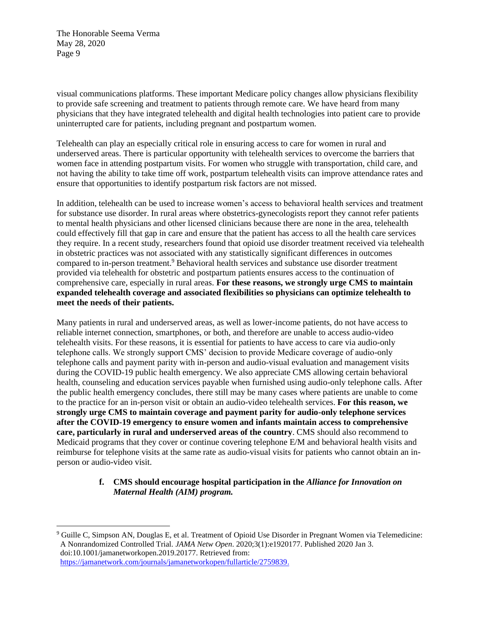visual communications platforms. These important Medicare policy changes allow physicians flexibility to provide safe screening and treatment to patients through remote care. We have heard from many physicians that they have integrated telehealth and digital health technologies into patient care to provide uninterrupted care for patients, including pregnant and postpartum women.

Telehealth can play an especially critical role in ensuring access to care for women in rural and underserved areas. There is particular opportunity with telehealth services to overcome the barriers that women face in attending postpartum visits. For women who struggle with transportation, child care, and not having the ability to take time off work, postpartum telehealth visits can improve attendance rates and ensure that opportunities to identify postpartum risk factors are not missed.

In addition, telehealth can be used to increase women's access to behavioral health services and treatment for substance use disorder. In rural areas where obstetrics-gynecologists report they cannot refer patients to mental health physicians and other licensed clinicians because there are none in the area, telehealth could effectively fill that gap in care and ensure that the patient has access to all the health care services they require. In a recent study, researchers found that opioid use disorder treatment received via telehealth in obstetric practices was not associated with any statistically significant differences in outcomes compared to in-person treatment.<sup>9</sup> Behavioral health services and substance use disorder treatment provided via telehealth for obstetric and postpartum patients ensures access to the continuation of comprehensive care, especially in rural areas. **For these reasons, we strongly urge CMS to maintain expanded telehealth coverage and associated flexibilities so physicians can optimize telehealth to meet the needs of their patients.**

Many patients in rural and underserved areas, as well as lower-income patients, do not have access to reliable internet connection, smartphones, or both, and therefore are unable to access audio-video telehealth visits. For these reasons, it is essential for patients to have access to care via audio-only telephone calls. We strongly support CMS' decision to provide Medicare coverage of audio-only telephone calls and payment parity with in-person and audio-visual evaluation and management visits during the COVID-19 public health emergency. We also appreciate CMS allowing certain behavioral health, counseling and education services payable when furnished using audio-only telephone calls. After the public health emergency concludes, there still may be many cases where patients are unable to come to the practice for an in-person visit or obtain an audio-video telehealth services. **For this reason, we strongly urge CMS to maintain coverage and payment parity for audio-only telephone services after the COVID-19 emergency to ensure women and infants maintain access to comprehensive care, particularly in rural and underserved areas of the country**. CMS should also recommend to Medicaid programs that they cover or continue covering telephone E/M and behavioral health visits and reimburse for telephone visits at the same rate as audio-visual visits for patients who cannot obtain an inperson or audio-video visit.

#### **f. CMS should encourage hospital participation in the** *Alliance for Innovation on Maternal Health (AIM) program.*

<sup>9</sup> Guille C, Simpson AN, Douglas E, et al. Treatment of Opioid Use Disorder in Pregnant Women via Telemedicine: A Nonrandomized Controlled Trial. *JAMA Netw Open*. 2020;3(1):e1920177. Published 2020 Jan 3. doi:10.1001/jamanetworkopen.2019.20177. Retrieved from: [https://jamanetwork.com/journals/jamanetworkopen/fullarticle/2759839.](https://jamanetwork.com/journals/jamanetworkopen/fullarticle/2759839)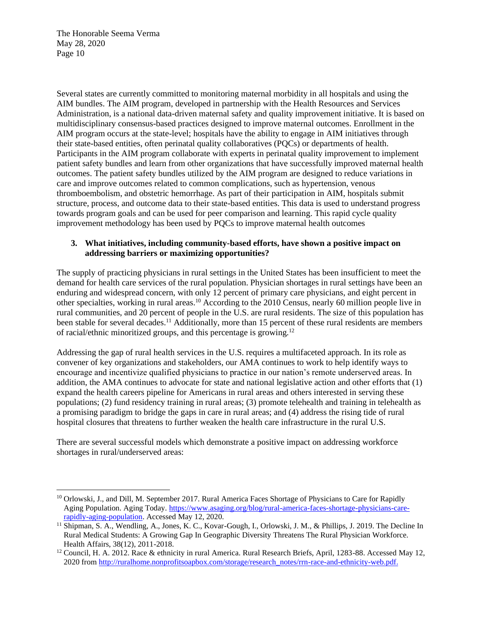Several states are currently committed to monitoring maternal morbidity in all hospitals and using the AIM bundles. The AIM program, developed in partnership with the Health Resources and Services Administration, is a national data-driven maternal safety and quality improvement initiative. It is based on multidisciplinary consensus-based practices designed to improve maternal outcomes. Enrollment in the AIM program occurs at the state-level; hospitals have the ability to engage in AIM initiatives through their state-based entities, often perinatal quality collaboratives (PQCs) or departments of health. Participants in the AIM program collaborate with experts in perinatal quality improvement to implement patient safety bundles and learn from other organizations that have successfully improved maternal health outcomes. The patient safety bundles utilized by the AIM program are designed to reduce variations in care and improve outcomes related to common complications, such as hypertension, venous thromboembolism, and obstetric hemorrhage. As part of their participation in AIM, hospitals submit structure, process, and outcome data to their state-based entities. This data is used to understand progress towards program goals and can be used for peer comparison and learning. This rapid cycle quality improvement methodology has been used by PQCs to improve maternal health outcomes

## **3. What initiatives, including community-based efforts, have shown a positive impact on addressing barriers or maximizing opportunities?**

The supply of practicing physicians in rural settings in the United States has been insufficient to meet the demand for health care services of the rural population. Physician shortages in rural settings have been an enduring and widespread concern, with only 12 percent of primary care physicians, and eight percent in other specialties, working in rural areas.<sup>10</sup> According to the 2010 Census, nearly 60 million people live in rural communities, and 20 percent of people in the U.S. are rural residents. The size of this population has been stable for several decades.<sup>11</sup> Additionally, more than 15 percent of these rural residents are members of racial/ethnic minoritized groups, and this percentage is growing.<sup>12</sup>

Addressing the gap of rural health services in the U.S. requires a multifaceted approach. In its role as convener of key organizations and stakeholders, our AMA continues to work to help identify ways to encourage and incentivize qualified physicians to practice in our nation's remote underserved areas. In addition, the AMA continues to advocate for state and national legislative action and other efforts that (1) expand the health careers pipeline for Americans in rural areas and others interested in serving these populations; (2) fund residency training in rural areas; (3) promote telehealth and training in telehealth as a promising paradigm to bridge the gaps in care in rural areas; and (4) address the rising tide of rural hospital closures that threatens to further weaken the health care infrastructure in the rural U.S.

There are several successful models which demonstrate a positive impact on addressing workforce shortages in rural/underserved areas:

<sup>10</sup> Orlowski, J., and Dill, M. September 2017. Rural America Faces Shortage of Physicians to Care for Rapidly Aging Population. Aging Today. [https://www.asaging.org/blog/rural-america-faces-shortage-physicians-care](about:blank)[rapidly-aging-population.](about:blank) Accessed May 12, 2020.

<sup>&</sup>lt;sup>11</sup> Shipman, S. A., Wendling, A., Jones, K. C., Kovar-Gough, I., Orlowski, J. M., & Phillips, J. 2019. The Decline In Rural Medical Students: A Growing Gap In Geographic Diversity Threatens The Rural Physician Workforce. Health Affairs, 38(12), 2011-2018.

<sup>&</sup>lt;sup>12</sup> Council, H. A. 2012. Race & ethnicity in rural America. Rural Research Briefs, April, 1283-88. Accessed May 12, 2020 fro[m http://ruralhome.nonprofitsoapbox.com/storage/research\\_notes/rrn-race-and-ethnicity-web.pdf.](about:blank)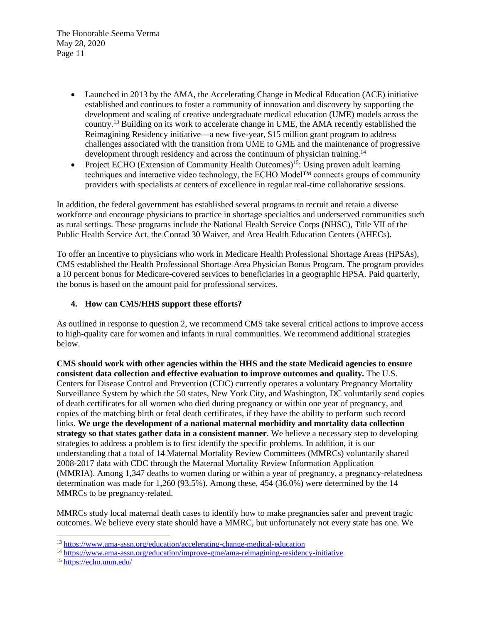- Launched in 2013 by the AMA, the Accelerating Change in Medical Education (ACE) initiative established and continues to foster a community of innovation and discovery by supporting the development and scaling of creative undergraduate medical education (UME) models across the country.<sup>13</sup> Building on its work to accelerate change in UME, the AMA recently established the Reimagining Residency initiative—a new five-year, \$15 million grant program to address challenges associated with the transition from UME to GME and the maintenance of progressive development through residency and across the continuum of physician training.<sup>14</sup>
- Project ECHO (Extension of Community Health Outcomes)<sup>15</sup>: Using proven adult learning techniques and interactive video technology, the ECHO Model™ connects groups of community providers with specialists at centers of excellence in regular real-time collaborative sessions.

In addition, the federal government has established several programs to recruit and retain a diverse workforce and encourage physicians to practice in shortage specialties and underserved communities such as rural settings. These programs include the National Health Service Corps (NHSC), Title VII of the Public Health Service Act, the Conrad 30 Waiver, and Area Health Education Centers (AHECs).

To offer an incentive to physicians who work in Medicare Health Professional Shortage Areas (HPSAs), CMS established the Health Professional Shortage Area Physician Bonus Program. The program provides a 10 percent bonus for Medicare-covered services to beneficiaries in a geographic HPSA. Paid quarterly, the bonus is based on the amount paid for professional services.

## **4. How can CMS/HHS support these efforts?**

As outlined in response to question 2, we recommend CMS take several critical actions to improve access to high-quality care for women and infants in rural communities. We recommend additional strategies below.

**CMS should work with other agencies within the HHS and the state Medicaid agencies to ensure consistent data collection and effective evaluation to improve outcomes and quality.** The U.S. Centers for Disease Control and Prevention (CDC) currently operates a voluntary Pregnancy Mortality Surveillance System by which the 50 states, New York City, and Washington, DC voluntarily send copies of death certificates for all women who died during pregnancy or within one year of pregnancy, and copies of the matching birth or fetal death certificates, if they have the ability to perform such record links. **We urge the development of a national maternal morbidity and mortality data collection strategy so that states gather data in a consistent manner**. We believe a necessary step to developing strategies to address a problem is to first identify the specific problems. In addition, it is our understanding that a total of 14 Maternal Mortality Review Committees (MMRCs) voluntarily shared 2008-2017 data with CDC through the Maternal Mortality Review Information Application (MMRIA). Among 1,347 deaths to women during or within a year of pregnancy, a pregnancy-relatedness determination was made for 1,260 (93.5%). Among these, 454 (36.0%) were determined by the 14 MMRCs to be pregnancy-related.

MMRCs study local maternal death cases to identify how to make pregnancies safer and prevent tragic outcomes. We believe every state should have a MMRC, but unfortunately not every state has one. We

<sup>13</sup> <https://www.ama-assn.org/education/accelerating-change-medical-education>

<sup>14</sup> <https://www.ama-assn.org/education/improve-gme/ama-reimagining-residency-initiative>

<sup>15</sup> <https://echo.unm.edu/>